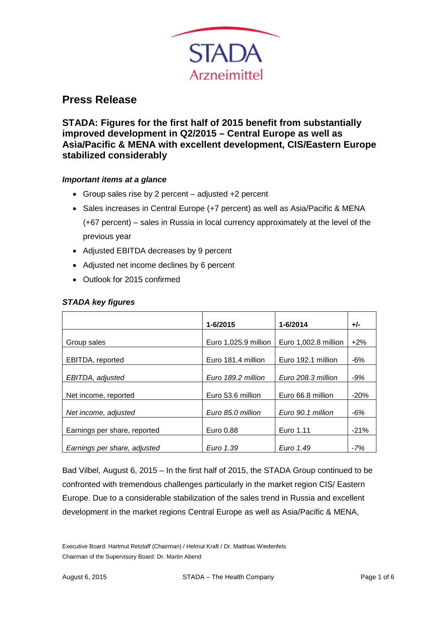

# **Press Release**

**STADA: Figures for the first half of 2015 benefit from substantially improved development in Q2/2015 – Central Europe as well as Asia/Pacific & MENA with excellent development, CIS/Eastern Europe stabilized considerably**

## *Important items at a glance*

- Group sales rise by 2 percent adjusted +2 percent
- Sales increases in Central Europe (+7 percent) as well as Asia/Pacific & MENA (+67 percent) – sales in Russia in local currency approximately at the level of the previous year
- Adjusted EBITDA decreases by 9 percent
- Adjusted net income declines by 6 percent
- Outlook for 2015 confirmed

|                              | 1-6/2015             | 1-6/2014             | +/-    |
|------------------------------|----------------------|----------------------|--------|
|                              |                      |                      |        |
| Group sales                  | Euro 1,025.9 million | Euro 1,002.8 million | $+2%$  |
|                              |                      |                      |        |
| EBITDA, reported             | Euro 181.4 million   | Euro 192.1 million   | $-6%$  |
|                              |                      |                      |        |
| EBITDA, adjusted             | Euro 189.2 million   | Euro 208.3 million   | $-9%$  |
|                              |                      |                      |        |
| Net income, reported         | Euro 53.6 million    | Euro 66.8 million    | $-20%$ |
|                              |                      |                      |        |
| Net income, adjusted         | Euro 85.0 million    | Euro 90.1 million    | $-6%$  |
|                              |                      |                      |        |
| Earnings per share, reported | Euro 0.88            | Euro 1.11            | $-21%$ |
|                              |                      |                      |        |
| Earnings per share, adjusted | Euro 1.39            | Euro 1.49            | $-7%$  |

## *STADA key figures*

Bad Vilbel, August 6, 2015 – In the first half of 2015, the STADA Group continued to be confronted with tremendous challenges particularly in the market region CIS/ Eastern Europe. Due to a considerable stabilization of the sales trend in Russia and excellent development in the market regions Central Europe as well as Asia/Pacific & MENA,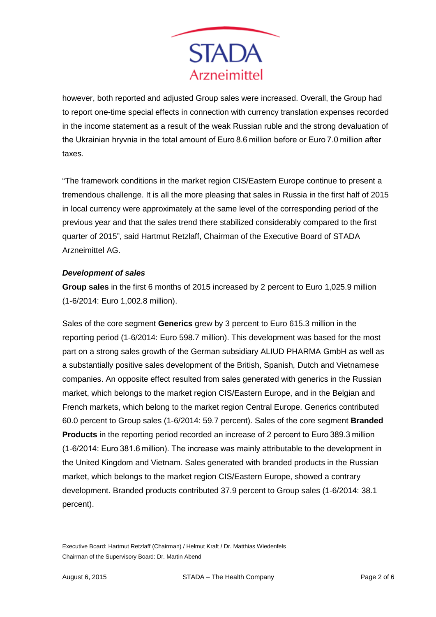

however, both reported and adjusted Group sales were increased. Overall, the Group had to report one-time special effects in connection with currency translation expenses recorded in the income statement as a result of the weak Russian ruble and the strong devaluation of the Ukrainian hryvnia in the total amount of Euro 8.6 million before or Euro 7.0 million after taxes.

"The framework conditions in the market region CIS/Eastern Europe continue to present a tremendous challenge. It is all the more pleasing that sales in Russia in the first half of 2015 in local currency were approximately at the same level of the corresponding period of the previous year and that the sales trend there stabilized considerably compared to the first quarter of 2015", said Hartmut Retzlaff, Chairman of the Executive Board of STADA Arzneimittel AG.

## *Development of sales*

**Group sales** in the first 6 months of 2015 increased by 2 percent to Euro 1,025.9 million (1-6/2014: Euro 1,002.8 million).

Sales of the core segment **Generics** grew by 3 percent to Euro 615.3 million in the reporting period (1-6/2014: Euro 598.7 million). This development was based for the most part on a strong sales growth of the German subsidiary ALIUD PHARMA GmbH as well as a substantially positive sales development of the British, Spanish, Dutch and Vietnamese companies. An opposite effect resulted from sales generated with generics in the Russian market, which belongs to the market region CIS/Eastern Europe, and in the Belgian and French markets, which belong to the market region Central Europe. Generics contributed 60.0 percent to Group sales (1-6/2014: 59.7 percent). Sales of the core segment **Branded Products** in the reporting period recorded an increase of 2 percent to Euro 389.3 million (1-6/2014: Euro 381.6 million). The increase was mainly attributable to the development in the United Kingdom and Vietnam. Sales generated with branded products in the Russian market, which belongs to the market region CIS/Eastern Europe, showed a contrary development. Branded products contributed 37.9 percent to Group sales (1-6/2014: 38.1 percent).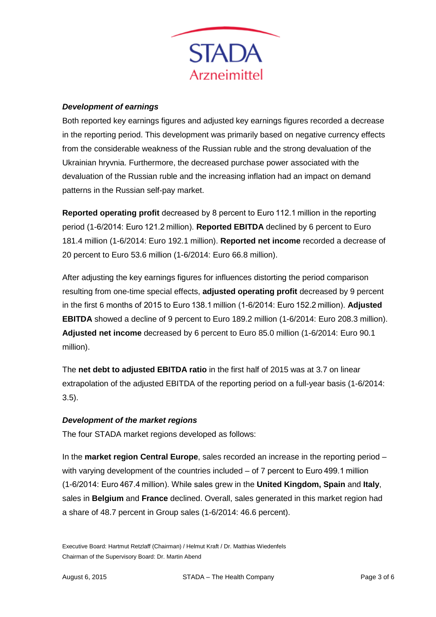

#### *Development of earnings*

Both reported key earnings figures and adjusted key earnings figures recorded a decrease in the reporting period. This development was primarily based on negative currency effects from the considerable weakness of the Russian ruble and the strong devaluation of the Ukrainian hryvnia. Furthermore, the decreased purchase power associated with the devaluation of the Russian ruble and the increasing inflation had an impact on demand patterns in the Russian self-pay market.

**Reported operating profit** decreased by 8 percent to Euro 112.1 million in the reporting period (1-6/2014: Euro 121.2 million). **Reported EBITDA** declined by 6 percent to Euro 181.4 million (1-6/2014: Euro 192.1 million). **Reported net income** recorded a decrease of 20 percent to Euro 53.6 million (1-6/2014: Euro 66.8 million).

After adjusting the key earnings figures for influences distorting the period comparison resulting from one-time special effects, **adjusted operating profit** decreased by 9 percent in the first 6 months of 2015 to Euro 138.1 million (1-6/2014: Euro 152.2 million). **Adjusted EBITDA** showed a decline of 9 percent to Euro 189.2 million (1-6/2014: Euro 208.3 million). **Adjusted net income** decreased by 6 percent to Euro 85.0 million (1-6/2014: Euro 90.1 million).

The **net debt to adjusted EBITDA ratio** in the first half of 2015 was at 3.7 on linear extrapolation of the adjusted EBITDA of the reporting period on a full-year basis (1-6/2014: 3.5).

## *Development of the market regions*

The four STADA market regions developed as follows:

In the **market region Central Europe**, sales recorded an increase in the reporting period – with varying development of the countries included – of 7 percent to Euro 499.1 million (1-6/2014: Euro 467.4 million). While sales grew in the **United Kingdom, Spain** and **Italy**, sales in **Belgium** and **France** declined. Overall, sales generated in this market region had a share of 48.7 percent in Group sales (1-6/2014: 46.6 percent).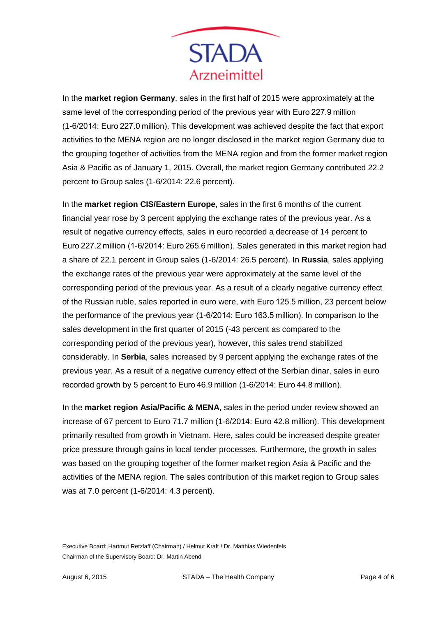

In the **market region Germany**, sales in the first half of 2015 were approximately at the same level of the corresponding period of the previous year with Euro 227.9 million (1-6/2014: Euro 227.0 million). This development was achieved despite the fact that export activities to the MENA region are no longer disclosed in the market region Germany due to the grouping together of activities from the MENA region and from the former market region Asia & Pacific as of January 1, 2015. Overall, the market region Germany contributed 22.2 percent to Group sales (1-6/2014: 22.6 percent).

In the **market region CIS/Eastern Europe**, sales in the first 6 months of the current financial year rose by 3 percent applying the exchange rates of the previous year. As a result of negative currency effects, sales in euro recorded a decrease of 14 percent to Euro 227.2 million (1-6/2014: Euro 265.6 million). Sales generated in this market region had a share of 22.1 percent in Group sales (1-6/2014: 26.5 percent). In **Russia**, sales applying the exchange rates of the previous year were approximately at the same level of the corresponding period of the previous year. As a result of a clearly negative currency effect of the Russian ruble, sales reported in euro were, with Euro 125.5 million, 23 percent below the performance of the previous year (1-6/2014: Euro 163.5 million). In comparison to the sales development in the first quarter of 2015 (-43 percent as compared to the corresponding period of the previous year), however, this sales trend stabilized considerably. In **Serbia**, sales increased by 9 percent applying the exchange rates of the previous year. As a result of a negative currency effect of the Serbian dinar, sales in euro recorded growth by 5 percent to Euro 46.9 million (1-6/2014: Euro 44.8 million).

In the **market region Asia/Pacific & MENA**, sales in the period under review showed an increase of 67 percent to Euro 71.7 million (1-6/2014: Euro 42.8 million). This development primarily resulted from growth in Vietnam. Here, sales could be increased despite greater price pressure through gains in local tender processes. Furthermore, the growth in sales was based on the grouping together of the former market region Asia & Pacific and the activities of the MENA region. The sales contribution of this market region to Group sales was at 7.0 percent (1-6/2014: 4.3 percent).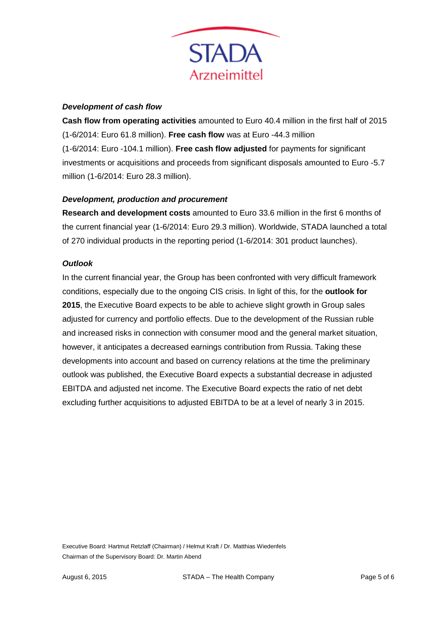

#### *Development of cash flow*

**Cash flow from operating activities** amounted to Euro 40.4 million in the first half of 2015 (1-6/2014: Euro 61.8 million). **Free cash flow** was at Euro -44.3 million (1-6/2014: Euro -104.1 million). **Free cash flow adjusted** for payments for significant investments or acquisitions and proceeds from significant disposals amounted to Euro -5.7 million (1-6/2014: Euro 28.3 million).

## *Development, production and procurement*

**Research and development costs** amounted to Euro 33.6 million in the first 6 months of the current financial year (1-6/2014: Euro 29.3 million). Worldwide, STADA launched a total of 270 individual products in the reporting period (1-6/2014: 301 product launches).

## *Outlook*

In the current financial year, the Group has been confronted with very difficult framework conditions, especially due to the ongoing CIS crisis. In light of this, for the **outlook for 2015**, the Executive Board expects to be able to achieve slight growth in Group sales adjusted for currency and portfolio effects. Due to the development of the Russian ruble and increased risks in connection with consumer mood and the general market situation, however, it anticipates a decreased earnings contribution from Russia. Taking these developments into account and based on currency relations at the time the preliminary outlook was published, the Executive Board expects a substantial decrease in adjusted EBITDA and adjusted net income. The Executive Board expects the ratio of net debt excluding further acquisitions to adjusted EBITDA to be at a level of nearly 3 in 2015.